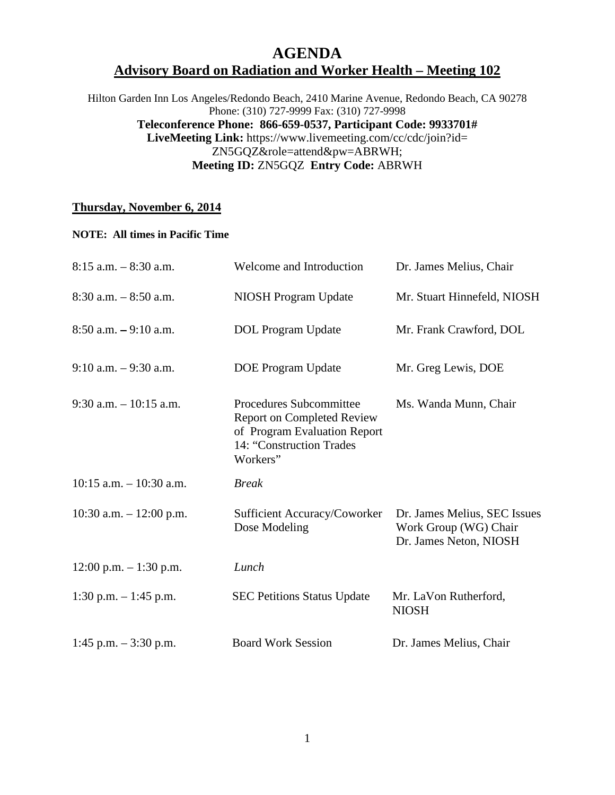## **AGENDA Advisory Board on Radiation and Worker Health – Meeting 102**

Hilton Garden Inn Los Angeles/Redondo Beach, 2410 Marine Avenue, Redondo Beach, CA 90278 Phone: (310) 727-9999 Fax: (310) 727-9998 **Teleconference Phone: 866-659-0537, Participant Code: 9933701# LiveMeeting Link:** https://www.livemeeting.com/cc/cdc/join?id= ZN5GQZ&role=attend&pw=ABRWH; **Meeting ID:** ZN5GQZ **Entry Code:** ABRWH

## **Thursday, November 6, 2014**

## **NOTE: All times in Pacific Time**

| $8:15$ a.m. $-8:30$ a.m.   | Welcome and Introduction                                                                                                             | Dr. James Melius, Chair                                                         |
|----------------------------|--------------------------------------------------------------------------------------------------------------------------------------|---------------------------------------------------------------------------------|
| $8:30$ a.m. $-8:50$ a.m.   | NIOSH Program Update                                                                                                                 | Mr. Stuart Hinnefeld, NIOSH                                                     |
| $8:50$ a.m. $-9:10$ a.m.   | <b>DOL</b> Program Update                                                                                                            | Mr. Frank Crawford, DOL                                                         |
| $9:10$ a.m. $-9:30$ a.m.   | <b>DOE</b> Program Update                                                                                                            | Mr. Greg Lewis, DOE                                                             |
| $9:30$ a.m. $-10:15$ a.m.  | Procedures Subcommittee<br><b>Report on Completed Review</b><br>of Program Evaluation Report<br>14: "Construction Trades<br>Workers" | Ms. Wanda Munn, Chair                                                           |
| $10:15$ a.m. $-10:30$ a.m. | <b>Break</b>                                                                                                                         |                                                                                 |
| 10:30 a.m. $- 12:00$ p.m.  | Sufficient Accuracy/Coworker<br>Dose Modeling                                                                                        | Dr. James Melius, SEC Issues<br>Work Group (WG) Chair<br>Dr. James Neton, NIOSH |
| $12:00$ p.m. $-1:30$ p.m.  | Lunch                                                                                                                                |                                                                                 |
| 1:30 p.m. $-1:45$ p.m.     | <b>SEC Petitions Status Update</b>                                                                                                   | Mr. LaVon Rutherford,<br><b>NIOSH</b>                                           |
| 1:45 p.m. $-3:30$ p.m.     | <b>Board Work Session</b>                                                                                                            | Dr. James Melius, Chair                                                         |